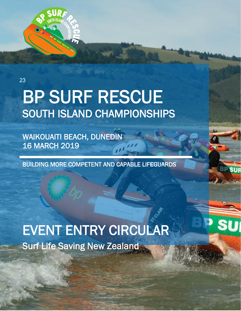

23

# BP SURF RESCUE SOUTH ISLAND CHAMPIONSHIPS

WAIKOUAITI BEACH, DUNEDIN 16 MARCH 2019

BUILDING MORE COMPETENT AND CAPABLE LIFEGUARDS

Surf Life Saving New Zealand EVENT ENTRY CIRCULAR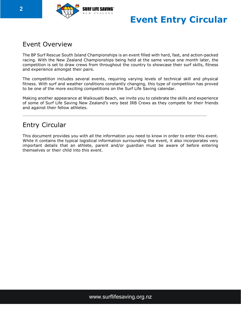

## **Event Entry Circular**

## Event Overview

The BP Surf Rescue South Island Championships is an event filled with hard, fast, and action-packed racing. With the New Zealand Championships being held at the same venue one month later, the competition is set to draw crews from throughout the country to showcase their surf skills, fitness and experience amongst their pairs.

The competition includes several events, requiring varying levels of technical skill and physical fitness. With surf and weather conditions constantly changing, this type of competition has proved to be one of the more exciting competitions on the Surf Life Saving calendar.

Making another appearance at Waikouaiti Beach, we invite you to celebrate the skills and experience of some of Surf Life Saving New Zealand's very best IRB Crews as they compete for their friends and against their fellow athletes.

## Entry Circular

This document provides you with all the information you need to know in order to enter this event. While it contains the typical logistical information surrounding the event, it also incorporates very important details that an athlete, parent and/or guardian must be aware of before entering themselves or their child into this event.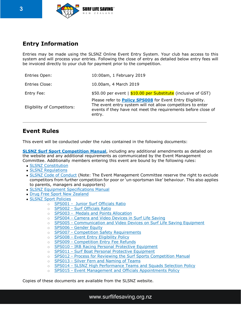

## **Entry Information**

Entries may be made using the SLSNZ Online Event Entry System. Your club has access to this system and will process your entries. Following the close of entry as detailed below entry fees will be invoiced directly to your club for payment prior to the competition.

| Entries Open:                      | 10:00am, 1 February 2019                                                                                                                                                                                   |
|------------------------------------|------------------------------------------------------------------------------------------------------------------------------------------------------------------------------------------------------------|
| Entries Close:                     | 10.00am, 4 March 2019                                                                                                                                                                                      |
| Entry Fee:                         | \$50.00 per event   \$10.00 per Substitute (inclusive of GST)                                                                                                                                              |
| <b>Eligibility of Competitors:</b> | Please refer to <b>Policy SPS008</b> for Event Entry Eligibility.<br>The event entry system will not allow competitors to enter<br>events if they have not meet the requirements before close of<br>entry. |

## **Event Rules**

This event will be conducted under the rules contained in the following documents:

**SLSNZ Surf Sport [Competition](http://www.surflifesaving.org.nz/sport/about-us/surf-sport-manual/) Manual**, including any additional amendments as detailed on the website and any additional requirements as communicated by the Event Management Committee. Additionally members entering this event are bound by the following rules:

- SLSNZ [Constitution](http://www.surflifesaving.org.nz/organisation/about-us/management-documents/)
- SLSNZ [Regulations](http://www.surflifesaving.org.nz/organisation/about-us/management-documents/)
- SLSNZ Code of [Conduct](http://www.surflifesaving.org.nz/organisation/about-us/management-documents/) (Note: The Event Management Committee reserve the right to exclude competitors from further competition for poor or 'un-sportsman like' behaviour. This also applies to parents, managers and supporters)
- SLSNZ Equipment [Specifications](https://www.surflifesaving.org.nz/sport/about-us/drug-free-sport-information) Manual
- Drug Free Sport New [Zealand](https://www.surflifesaving.org.nz/sport/about-us/drug-free-sport-information)
- SLSNZ Sport [Policies](http://www.surflifesaving.org.nz/sport/about-us/sport-policies/)
	- o **[SPS001 Junior Surf Officials Ratio](https://www.surflifesaving.org.nz/media/618788/SS001-Junior-Surf-Officials-Ratio-Policy_2015.pdf)**
	- o SPS002 [Surf Officials Ratio](https://www.surflifesaving.org.nz/media/618791/SS002-Surf-Officials-Ratio-Policy_2015.pdf)
	- o [SPS003 Medals and Points Allocation](https://www.surflifesaving.org.nz/media/799715/SPS003-Medal-and-Points-Allocation-Policy_2016.pdf)
	- o SPS004 [Camera and Video Devices in Surf Life Saving](https://www.surflifesaving.org.nz/media/618764/SS004-Camera-and-Video-Devices-in-Surf-Life-Saving_2015.pdf)
	- o SPS005 [Communication and Video Devices on Surf Life Saving Equipment](https://www.surflifesaving.org.nz/media/618767/SS005-Communication-and-Video-Devices-on-Surf-Life-Saving-Equipment_2015.pdf)
	- o SPS006 [Gender Equity](https://www.surflifesaving.org.nz/media/620215/SS006-Gender-Equity.pdf)
	- o SPS007 [Competition Safety Requirements](https://www.surflifesaving.org.nz/media/620218/SS007-Competition-Safety-Requirements.pdf)
	- o SPS008 [Event Entry Eligibility Policy](https://www.surflifesaving.org.nz/media/975770/SPS008-Event-Entry-Eligibility-Policy.pdf)
	- o SPS009 [Competition Entry Fee Refunds](https://www.surflifesaving.org.nz/media/620224/SS009-Competition-Entry-Fee-Refunds.pdf)
	- o SPS010 [IRB Racing Personal Protective Equipment](https://www.surflifesaving.org.nz/media/911896/SPS010-IRB-Racing-Personal-Protective-Equipment_Updated-Sep-2017.pdf)
	- o SPS011 [Surf Boat Personal Protective Equipment](https://www.surflifesaving.org.nz/media/660030/SPS011-Surf-Boat-Personal-Protective-Equipment.pdf)
	- o SPS012 [Process for Reviewing the Surf Sports Competition Manual](https://www.surflifesaving.org.nz/media/709166/SPS012-Process-for-Reviewing-the-Surf-Sport-Competition-Manual.pdf)
	- o SPS013 [Silver Fern and Naming of Teams](https://www.surflifesaving.org.nz/media/827859/SPS013-Silver-Fern-and-Naming-of-Teams-Policy.pdf)
	- o SPS014 [SLSNZ High Performance Teams and Squads Selection](https://www.surflifesaving.org.nz/media/956656/SPS014-SLSNZ-High-Performance-Selection-Policy.pdf) Policy
	- $\circ$  SPS015 [Event Management and Officials Appointments Policy](https://www.surflifesaving.org.nz/media/972113/SPS015-Event-Management-and-Officials-Appointments-Policy.pdf)

Copies of these documents are available from the SLSNZ website.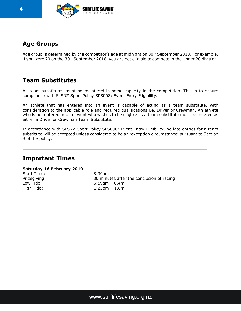

## **Age Groups**

Age group is determined by the competitor's age at midnight on 30<sup>th</sup> September 2018. For example, if you were 20 on the 30th September 2018, you are not eligible to compete in the Under 20 division**.**

## **Team Substitutes**

All team substitutes must be registered in some capacity in the competition. This is to ensure compliance with SLSNZ Sport Policy SPS008: Event Entry Eligibility.

An athlete that has entered into an event is capable of acting as a team substitute, with consideration to the applicable role and required qualifications i.e. Driver or Crewman. An athlete who is not entered into an event who wishes to be eligible as a team substitute must be entered as either a Driver or Crewman Team Substitute.

In accordance with SLSNZ Sport Policy SPS008: Event Entry Eligibility, no late entries for a team substitute will be accepted unless considered to be an 'exception circumstance' pursuant to Section 8 of the policy.

## **Important Times**

#### **Saturday 16 February 2019**

Start Time: 8:30am

Prizegiving: 30 minutes after the conclusion of racing Low Tide: 6:59am – 0.4m High Tide: 1:23pm – 1.8m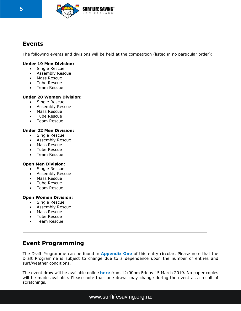

## **Events**

The following events and divisions will be held at the competition (listed in no particular order):

#### **Under 19 Men Division:**

- Single Rescue
- Assembly Rescue
- Mass Rescue
- Tube Rescue
- Team Rescue

#### **Under 20 Women Division:**

- Single Rescue
- Assembly Rescue
- Mass Rescue
- Tube Rescue
- Team Rescue

#### **Under 22 Men Division:**

- Single Rescue
- Assembly Rescue
- Mass Rescue
- Tube Rescue
- Team Rescue

#### **Open Men Division:**

- Single Rescue
- Assembly Rescue
- Mass Rescue
- Tube Rescue
- Team Rescue

#### **Open Women Division:**

- Single Rescue
- Assembly Rescue
- Mass Rescue
- Tube Rescue
- Team Rescue

## **Event Programming**

The Draft Programme can be found in **Appendix One** of this entry circular. Please note that the Draft Programme is subject to change due to a dependence upon the number of entries and surf/weather conditions.

The event draw will be available online **[here](https://liveresults.co.nz/sls)** from 12:00pm Friday 15 March 2019. No paper copies will be made available. Please note that lane draws may change during the event as a result of scratchings.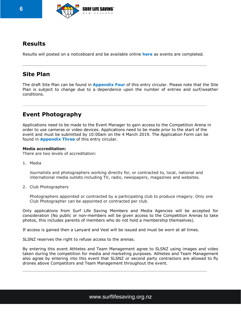

## **Results**

Results will posted on a noticeboard and be available online **[here](https://liveresults.co.nz/sls)** as events are completed.

## **Site Plan**

The draft Site Plan can be found in **Appendix Four** of this entry circular. Please note that the Site Plan is subject to change due to a dependence upon the number of entries and surf/weather conditions.

## **Event Photography**

Applications need to be made to the Event Manager to gain access to the Competition Arena in order to use cameras or video devices. Applications need to be made prior to the start of the event and must be submitted by 10:00am on the 4 March 2019. The Application Form can be found in **Appendix Three** of this entry circular.

#### **Media accreditation:**

There are two levels of accreditation:

1. Media

Journalists and photographers working directly for, or contracted to, local, national and international media outlets including TV, radio, newspapers, magazines and websites.

2. Club Photographers

Photographers appointed or contracted by a participating club to produce imagery. Only one Club Photographer can be appointed or contracted per club.

Only applications from Surf Life Saving Members and Media Agencies will be accepted for consideration (No public or non-members will be given access to the Competition Arenas to take photos, this includes parents of members who do not hold a membership themselves).

If access is gained then a Lanyard and Vest will be issued and must be worn at all times.

SLSNZ reserves the right to refuse access to the arenas.

By entering this event Athletes and Team Management agree to SLSNZ using images and video taken during the competition for media and marketing purposes. Athletes and Team Management also agree by entering into this event that SLSNZ or second party contractors are allowed to fly drones above Competitors and Team Management throughout the event.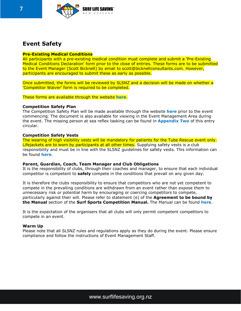

## **Event Safety**

#### **Pre-Existing Medical Conditions**

All participants with a pre-existing medical condition must complete and submit a 'Pre-Existing Medical Conditions Declaration' form prior to the close of entries. These forms are to be submitted to the Event Manager (Scott Bicknell) by email to scott@bicknellconsultants.com. However, participants are encouraged to submit these as early as possible.

Once submitted, the forms will be reviewed by SLSNZ and a decision will be made on whether a 'Competitor Waiver' form is required to be completed.

These forms are available through the website **[here](https://www.surflifesaving.org.nz/calendar/2019/march/bp-south-island-irb-championships)**.

#### **Competition Safety Plan**

The Competition Safety Plan will be made available through the website **[here](https://www.surflifesaving.org.nz/calendar/2019/march/bp-south-island-irb-championships)** prior to the event commencing. The document is also available for viewing in the Event Management Area during the event. The missing person at sea reflex tasking can be found in **Appendix Two** of this entry circular.

#### **Competition Safety Vests**

The wearing of high visibility vests will be mandatory for patients for the Tube Rescue event only. Lifejackets are to worn by participants at all other times. Supplying safety vests is a club responsibility and must be in line with the SLSNZ guidelines for safety vests. This information can be found **[here](https://www.surflifesaving.org.nz/sport/about-us/sport-documents)**.

#### **Parent, Guardian, Coach, Team Manager and Club Obligations**

It is the responsibility of clubs, through their coaches and manager, to ensure that each individual competitor is competent to **safely** compete in the conditions that prevail on any given day.

It is therefore the clubs responsibility to ensure that competitors who are not yet competent to compete in the prevailing conditions are withdrawn from an event rather than expose them to unnecessary risk or potential harm by encouraging or coercing competitors to compete, particularly against their will. Please refer to statement (e) of the **Agreement to be bound by the Manual** section of the **Surf Sports Competition Manual.** The Manual can be found **[here](http://www.surflifesaving.org.nz/sport/about-us/surf-sport-manual/)**.

It is the expectation of the organisers that all clubs will only permit competent competitors to compete in an event.

#### **Warm Up**

Please note that all SLSNZ rules and regulations apply as they do during the event. Please ensure compliance and follow the instructions of Event Management Staff.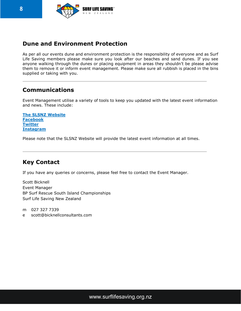

## **Dune and Environment Protection**

As per all our events dune and environment protection is the responsibility of everyone and as Surf Life Saving members please make sure you look after our beaches and sand dunes. If you see anyone walking through the dunes or placing equipment in areas they shouldn't be please advise them to remove it or inform event management. Please make sure all rubbish is placed in the bins supplied or taking with you.

## **Communications**

Event Management utilise a variety of tools to keep you updated with the latest event information and news. These include:

**The SLSNZ [Website](https://www.surflifesaving.org.nz/calendar/2019/march/bp-south-island-irb-championships) [Facebook](https://www.facebook.com/surflifesaving/?ref=bookmarks) [Twitter](https://twitter.com/slsnz) [Instagram](https://www.instagram.com/slsnz/)**

Please note that the SLSNZ Website will provide the latest event information at all times.

## **Key Contact**

If you have any queries or concerns, please feel free to contact the Event Manager.

Scott Bicknell Event Manager BP Surf Rescue South Island Championships Surf Life Saving New Zealand

m 027 327 7339

e scott@bicknellconsultants.com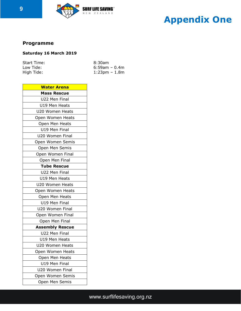

## **Appendix One**

## **Programme Draft Programme**

## **Saturday 16 March 2019**

| Start Time: | 8:30am              |
|-------------|---------------------|
| Low Tide:   | $6:59$ am – 0.4m    |
| High Tide:  | $1:23$ pm – $1.8$ m |

| <b>Water Arena</b>     |  |  |
|------------------------|--|--|
| <b>Mass Rescue</b>     |  |  |
| U22 Men Final          |  |  |
| U19 Men Heats          |  |  |
| U20 Women Heats        |  |  |
| Open Women Heats       |  |  |
| Open Men Heats         |  |  |
| U19 Men Final          |  |  |
| U20 Women Final        |  |  |
| Open Women Semis       |  |  |
| Open Men Semis         |  |  |
| Open Women Final       |  |  |
| Open Men Final         |  |  |
| <b>Tube Rescue</b>     |  |  |
| U22 Men Final          |  |  |
| U19 Men Heats          |  |  |
| U20 Women Heats        |  |  |
| Open Women Heats       |  |  |
| Open Men Heats         |  |  |
| U19 Men Final          |  |  |
| U20 Women Final        |  |  |
| Open Women Final       |  |  |
| Open Men Final         |  |  |
| <b>Assembly Rescue</b> |  |  |
| U22 Men Final          |  |  |
| U19 Men Heats          |  |  |
| U20 Women Heats        |  |  |
| Open Women Heats       |  |  |
| Open Men Heats         |  |  |
| U19 Men Final          |  |  |
| U20 Women Final        |  |  |
| Open Women Semis       |  |  |
| Open Men Semis         |  |  |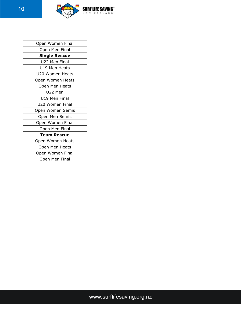

| Open Women Final     |  |  |
|----------------------|--|--|
| Open Men Final       |  |  |
| <b>Single Rescue</b> |  |  |
| U22 Men Final        |  |  |
| U19 Men Heats        |  |  |
| U20 Women Heats      |  |  |
| Open Women Heats     |  |  |
| Open Men Heats       |  |  |
| U22 Men              |  |  |
| U19 Men Final        |  |  |
| U20 Women Final      |  |  |
| Open Women Semis     |  |  |
| Open Men Semis       |  |  |
| Open Women Final     |  |  |
| Open Men Final       |  |  |
| <b>Team Rescue</b>   |  |  |
| Open Women Heats     |  |  |
| Open Men Heats       |  |  |
| Open Women Final     |  |  |
| Open Men Final       |  |  |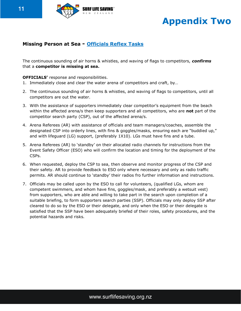

## **Appendix Two**

## **Missing Person at Sea - Officials Reflex Tasks**

The continuous sounding of air horns & whistles, and waving of flags to competitors, *confirms*  that a **competitor is missing at sea.** 

#### **OFFICIALS'** response and responsibilities.

- 1. Immediately close and clear the water arena of competitors and craft, by…
- 2. The continuous sounding of air horns & whistles, and waving of flags to competitors, until all competitors are out the water.
- 3. With the assistance of supporters immediately clear competitor's equipment from the beach within the affected arena/s then keep supporters and all competitors, who are **not** part of the competitor search party (CSP), out of the affected arena/s.
- 4. Arena Referees (AR) with assistance of officials and team managers/coaches, assemble the designated CSP into orderly lines, with fins & goggles/masks, ensuring each are "buddied up," and with lifeguard (LG) support, (preferably 1X10). LGs must have fins and a tube.
- 5. Arena Referees (AR) to 'standby' on their allocated radio channels for instructions from the Event Safety Officer (ESO) who will confirm the location and timing for the deployment of the CSPs.
- 6. When requested, deploy the CSP to sea, then observe and monitor progress of the CSP and their safety. AR to provide feedback to ESO only where necessary and only as radio traffic permits. AR should continue to 'standby' their radios fro further information and instructions.
- 7. Officials may be called upon by the ESO to call for volunteers, (qualified LGs, whom are competent swimmers, and whom have fins, goggles/mask, and preferably a wetsuit vest) from supporters, who are able and willing to take part in the search upon completion of a suitable briefing, to form supporters search parties (SSP). Officials may only deploy SSP after cleared to do so by the ESO or their delegate, and only when the ESO or their delegate is satisfied that the SSP have been adequately briefed of their roles, safety procedures, and the potential hazards and risks.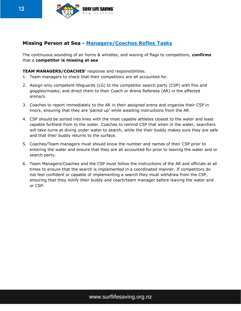

### **Missing Person at Sea - Managers/Coaches Reflex Tasks**

The continuous sounding of air horns & whistles, and waving of flags to competitors, *confirms*  that a **competitor is missing at sea** 

#### **TEAM MANAGERS/COACHES'** response and responsibilities.

- 1. Team managers to check that their competitors are all accounted for.
- 2. Assign only competent lifeguards (LG) to the competitor search party (CSP) with fins and goggles/masks, and direct them to their Coach or Arena Referees (AR) in the affected arena/s.
- 3. Coaches to report immediately to the AR in their assigned arena and organise their CSP in line/s, ensuring that they are 'paired up' while awaiting instructions from the AR.
- 4. CSP should be sorted into lines with the most capable athletes closest to the water and least capable furthest from to the water. Coaches to remind CSP that when in the water, searchers will take turns at diving under water to search, while the their buddy makes sure they are safe and that their buddy returns to the surface.
- 5. Coaches/Team managers must should know the number and names of their CSP prior to entering the water and ensure that they are all accounted for prior to leaving the water and or search party.
- 6. Team Managers/Coaches and the CSP must follow the instructions of the AR and officials at all times to ensure that the search is implemented in a coordinated manner. If competitors do not feel confident or capable of implementing a search they must withdraw from the CSP, ensuring that they notify their buddy and coach/team manager before leaving the water and or CSP.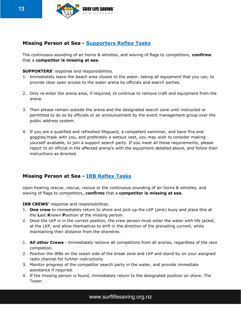

### **Missing Person at Sea - Supporters Reflex Tasks**

The continuous sounding of air horns & whistles, and waving of flags to competitors, *confirms*  that a **competitor is missing at sea.** 

#### **SUPPORTERS'** response and responsibilities.

- 1. Immediately leave the beach area closest to the water, taking all equipment that you can, to provide clear open access to the water arena by officials and search parties.
- 2. Only re-enter the arena area, if required, to continue to remove craft and equipment from the arena.
- 3. Then please remain outside the arena and the designated search zone until instructed or permitted to do so by officials or an announcement by the event management group over the public address system.
- 4. If you are a qualified and refreshed lifeguard, a competent swimmer, and have fins and goggles/mask with you, and preferably a wetsuit vest, you may wish to consider making yourself available, to join a support search party. If you meet all these requirements, please report to an official in the affected arena/s with the equipment detailed above, and follow their instructions as directed.

### **Missing Person at Sea - IRB Reflex Tasks**

Upon hearing rescue, rescue, rescue or the continuous sounding of air horns & whistles, and waving of flags to competitors, *confirms* that a **competitor is missing at sea.** 

**IRB CREWS'** response and responsibilities.

- 1. **One crew** to immediately return to shore and pick up the LKP (pink) buoy and place this at the **L**ast **K**nown **P**osition of the missing person.
- 2. Once the LKP is in the correct position, the crew person must enter the water with life jacket, at the LKP, and allow themselves to drift in the direction of the prevailing current, while maintaining their distance from the shoreline.
- 1. **All other Crews**  Immediately remove all competitors from all arenas, regardless of the race completion.
- 2. Position the IRBs on the ocean side of the break zone and LKP and stand by on your assigned radio channel for further instructions.
- 3. Monitor progress of the competitor search party in the water, and provide immediate assistance if required.
- 4. If the missing person is found, immediately return to the designated position on shore. The Tower.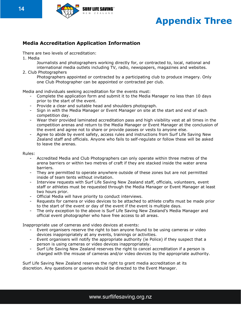

## **Appendix Three**

### **Media Accreditation Application Information**

There are two levels of accreditation:

1. Media

Journalists and photographers working directly for, or contracted to, local, national and international media outlets including TV, radio, newspapers, magazines and websites.

2. Club Photographers

Photographers appointed or contracted by a participating club to produce imagery. Only one Club Photographer can be appointed or contracted per club.

Media and individuals seeking accreditation for the events must:

- Complete the application form and submit it to the Media Manager no less than 10 days prior to the start of the event.
- Provide a clear and suitable head and shoulders photograph.
- Sign in with the Media Manager or Event Manager on site at the start and end of each competition day.
- Wear their provided laminated accreditation pass and high visibility vest at all times in the competition arenas and return to the Media Manager or Event Manager at the conclusion of the event and agree not to share or provide passes or vests to anyone else.
- Agree to abide by event safety, access rules and instructions from Surf Life Saving New Zealand staff and officials. Anyone who fails to self-regulate or follow these will be asked to leave the arenas.

Rules:

- Accredited Media and Club Photographers can only operate within three metres of the arena barriers or within two metres of craft if they are stacked inside the water arena barriers.
- They are permitted to operate anywhere outside of these zones but are not permitted inside of team tents without invitation.
- Interview requests with Surf Life Saving New Zealand staff, officials, volunteers, event staff or athletes must be requested through the Media Manager or Event Manager at least two hours prior.
- Official Media will have priority to conduct interviews.
- Requests for camera or video devices to be attached to athlete crafts must be made prior to the start of the event or day of the event if the event is multiple days.
- The only exception to the above is Surf Life Saving New Zealand's Media Manager and official event photographer who have free access to all areas.

Inappropriate use of cameras and video devices at events:

- Event organisers reserve the right to ban anyone found to be using cameras or video devices inappropriately at any events, trainings or activities.
- Event organisers will notify the appropriate authority (ie Police) if they suspect that a person is using cameras or video devices inappropriately.
- Surf Life Saving New Zealand reserves the right to cancel accreditation if a person is charged with the misuse of cameras and/or video devices by the appropriate authority.

Surf Life Saving New Zealand reserves the right to grant media accreditation at its discretion. Any questions or queries should be directed to the Event Manager.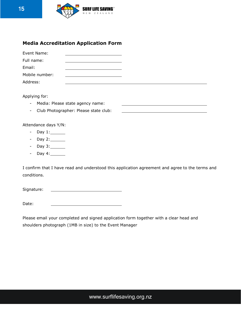

### **Media Accreditation Application Form**

| Event Name:    |  |
|----------------|--|
| Full name:     |  |
| Email:         |  |
| Mobile number: |  |
| Address:       |  |

Applying for:

- Media: Please state agency name:
- Club Photographer: Please state club:

Attendance days Y/N:

- Day 1:
- Day 2: \_\_\_\_\_\_\_
- Day 3: \_\_\_\_\_\_\_
- Day 4: 1997

I confirm that I have read and understood this application agreement and agree to the terms and conditions.

Signature:

Date:

Please email your completed and signed application form together with a clear head and shoulders photograph (1MB in size) to the Event Manager